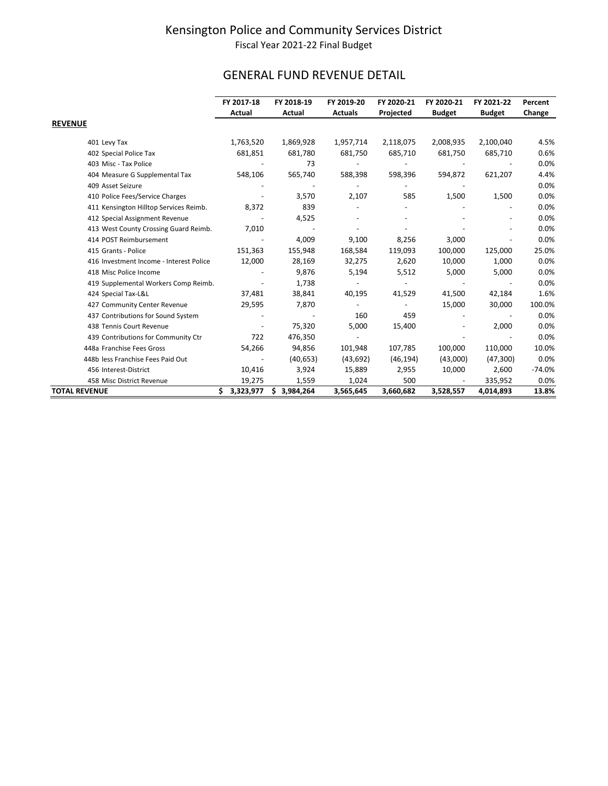# GENERAL FUND REVENUE DETAIL

|                                         | FY 2017-18       | FY 2018-19       | FY 2019-20     | FY 2020-21 | FY 2020-21    | FY 2021-22    | Percent  |
|-----------------------------------------|------------------|------------------|----------------|------------|---------------|---------------|----------|
|                                         | Actual           | Actual           | <b>Actuals</b> | Projected  | <b>Budget</b> | <b>Budget</b> | Change   |
| <b>REVENUE</b>                          |                  |                  |                |            |               |               |          |
| 401 Levy Tax                            | 1,763,520        | 1,869,928        | 1,957,714      | 2,118,075  | 2,008,935     | 2,100,040     | 4.5%     |
| 402 Special Police Tax                  | 681,851          | 681,780          | 681,750        | 685,710    | 681,750       | 685,710       | 0.6%     |
| 403 Misc - Tax Police                   |                  | 73               |                |            |               |               | 0.0%     |
| 404 Measure G Supplemental Tax          | 548,106          | 565,740          | 588,398        | 598,396    | 594,872       | 621,207       | 4.4%     |
| 409 Asset Seizure                       |                  |                  |                |            |               |               | 0.0%     |
| 410 Police Fees/Service Charges         |                  | 3,570            | 2,107          | 585        | 1,500         | 1,500         | 0.0%     |
| 411 Kensington Hilltop Services Reimb.  | 8,372            | 839              |                |            |               |               | 0.0%     |
| 412 Special Assignment Revenue          |                  | 4,525            |                |            |               |               | 0.0%     |
| 413 West County Crossing Guard Reimb.   | 7,010            |                  |                |            |               |               | 0.0%     |
| 414 POST Reimbursement                  |                  | 4,009            | 9,100          | 8,256      | 3,000         |               | 0.0%     |
| 415 Grants - Police                     | 151,363          | 155,948          | 168,584        | 119,093    | 100,000       | 125,000       | 25.0%    |
| 416 Investment Income - Interest Police | 12,000           | 28,169           | 32,275         | 2,620      | 10,000        | 1,000         | 0.0%     |
| 418 Misc Police Income                  |                  | 9,876            | 5,194          | 5,512      | 5,000         | 5,000         | 0.0%     |
| 419 Supplemental Workers Comp Reimb.    |                  | 1,738            |                |            |               |               | 0.0%     |
| 424 Special Tax-L&L                     | 37,481           | 38,841           | 40,195         | 41,529     | 41,500        | 42,184        | 1.6%     |
| 427 Community Center Revenue            | 29,595           | 7,870            |                |            | 15,000        | 30,000        | 100.0%   |
| 437 Contributions for Sound System      |                  |                  | 160            | 459        |               |               | 0.0%     |
| 438 Tennis Court Revenue                |                  | 75,320           | 5,000          | 15,400     |               | 2,000         | 0.0%     |
| 439 Contributions for Community Ctr     | 722              | 476,350          |                |            |               |               | 0.0%     |
| 448a Franchise Fees Gross               | 54,266           | 94,856           | 101,948        | 107,785    | 100,000       | 110,000       | 10.0%    |
| 448b less Franchise Fees Paid Out       |                  | (40, 653)        | (43, 692)      | (46, 194)  | (43,000)      | (47, 300)     | 0.0%     |
| 456 Interest-District                   | 10,416           | 3,924            | 15,889         | 2,955      | 10,000        | 2,600         | $-74.0%$ |
| 458 Misc District Revenue               | 19,275           | 1,559            | 1,024          | 500        |               | 335,952       | 0.0%     |
| <b>TOTAL REVENUE</b>                    | \$.<br>3,323,977 | 3,984,264<br>\$. | 3,565,645      | 3,660,682  | 3,528,557     | 4,014,893     | 13.8%    |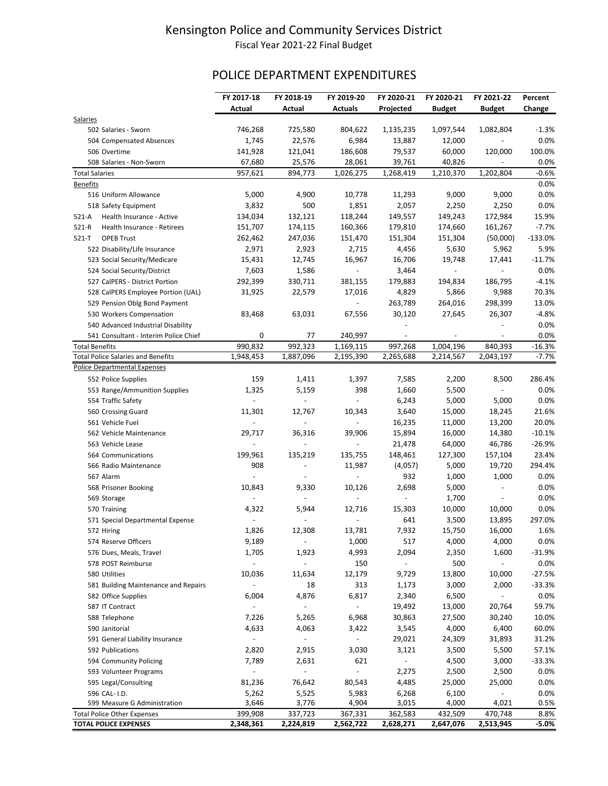# POLICE DEPARTMENT EXPENDITURES

|                       |                                           | FY 2017-18               | FY 2018-19               | FY 2019-20               | FY 2020-21               | FY 2020-21     | FY 2021-22               | Percent   |
|-----------------------|-------------------------------------------|--------------------------|--------------------------|--------------------------|--------------------------|----------------|--------------------------|-----------|
|                       |                                           | Actual                   | Actual                   | <b>Actuals</b>           | Projected                | <b>Budget</b>  | <b>Budget</b>            | Change    |
| Salaries              |                                           |                          |                          |                          |                          |                |                          |           |
|                       | 502 Salaries - Sworn                      | 746,268                  | 725,580                  | 804,622                  | 1,135,235                | 1,097,544      | 1,082,804                | $-1.3%$   |
|                       | 504 Compensated Absences                  | 1,745                    | 22,576                   | 6,984                    | 13,887                   | 12,000         |                          | 0.0%      |
|                       | 506 Overtime                              | 141,928                  | 121,041                  | 186,608                  | 79,537                   | 60,000         | 120,000                  | 100.0%    |
|                       | 508 Salaries - Non-Sworn                  | 67,680                   | 25,576                   | 28,061                   | 39,761                   | 40,826         | $\overline{\phantom{a}}$ | 0.0%      |
| <b>Total Salaries</b> |                                           | 957,621                  | 894,773                  | 1,026,275                | 1,268,419                | 1,210,370      | 1,202,804                | $-0.6%$   |
| <b>Benefits</b>       |                                           |                          |                          |                          |                          |                |                          | 0.0%      |
|                       | 516 Uniform Allowance                     | 5,000                    | 4,900                    | 10,778                   | 11,293                   | 9,000          | 9,000                    | 0.0%      |
|                       | 518 Safety Equipment                      | 3,832                    | 500                      | 1,851                    | 2,057                    | 2,250          | 2,250                    | 0.0%      |
| $521-A$               | Health Insurance - Active                 | 134,034                  | 132,121                  | 118,244                  | 149,557                  | 149,243        | 172,984                  | 15.9%     |
| $521-R$               | Health Insurance - Retirees               | 151,707                  | 174,115                  | 160,366                  | 179,810                  | 174,660        | 161,267                  | $-7.7%$   |
| $521 - T$             | <b>OPEB Trust</b>                         | 262,462                  | 247,036                  | 151,470                  | 151,304                  | 151,304        | (50,000)                 | $-133.0%$ |
|                       | 522 Disability/Life Insurance             | 2,971                    | 2,923                    | 2,715                    | 4,456                    | 5,630          | 5,962                    | 5.9%      |
|                       | 523 Social Security/Medicare              | 15,431                   | 12,745                   | 16,967                   | 16,706                   | 19,748         | 17,441                   | $-11.7%$  |
|                       | 524 Social Security/District              | 7,603                    | 1,586                    |                          | 3,464                    |                |                          | 0.0%      |
|                       | 527 CalPERS - District Portion            | 292,399                  | 330,711                  | 381,155                  | 179,883                  | 194,834        | 186,795                  | $-4.1%$   |
|                       | 528 CalPERS Employee Portion (UAL)        | 31,925                   | 22,579                   | 17,016                   | 4,829                    | 5,866          | 9,988                    | 70.3%     |
|                       | 529 Pension Oblg Bond Payment             |                          |                          |                          | 263,789                  | 264,016        | 298,399                  | 13.0%     |
|                       | 530 Workers Compensation                  | 83,468                   | 63,031                   | 67,556                   | 30,120                   | 27,645         | 26,307                   | $-4.8%$   |
|                       | 540 Advanced Industrial Disability        |                          |                          |                          |                          |                |                          | 0.0%      |
|                       | 541 Consultant - Interim Police Chief     | 0                        | 77                       | 240,997                  |                          | $\overline{a}$ |                          | 0.0%      |
| <b>Total Benefits</b> |                                           | 990,832                  | 992,323                  | 1,169,115                | 997,268                  | 1,004,196      | 840,393                  | $-16.3%$  |
|                       | <b>Total Police Salaries and Benefits</b> | 1,948,453                | 1,887,096                | 2,195,390                | 2,265,688                | 2,214,567      | 2,043,197                | $-7.7%$   |
|                       | Police Departmental Expenses              |                          |                          |                          |                          |                |                          |           |
|                       | 552 Police Supplies                       | 159                      | 1,411                    | 1,397                    | 7,585                    | 2,200          | 8,500                    | 286.4%    |
|                       | 553 Range/Ammunition Supplies             | 1,325                    | 5,159                    | 398                      | 1,660                    | 5,500          | $\overline{\phantom{0}}$ | 0.0%      |
|                       | 554 Traffic Safety                        | $\overline{a}$           | $\overline{\phantom{m}}$ | $\overline{\phantom{a}}$ | 6,243                    | 5,000          | 5,000                    | 0.0%      |
|                       | 560 Crossing Guard                        | 11,301                   | 12,767                   | 10,343                   | 3,640                    | 15,000         | 18,245                   | 21.6%     |
|                       | 561 Vehicle Fuel                          |                          | $\overline{a}$           |                          | 16,235                   | 11,000         | 13,200                   | 20.0%     |
|                       | 562 Vehicle Maintenance                   | 29,717                   | 36,316                   | 39,906                   | 15,894                   | 16,000         | 14,380                   | $-10.1%$  |
|                       | 563 Vehicle Lease                         |                          |                          |                          | 21,478                   | 64,000         | 46,786                   | $-26.9%$  |
|                       | 564 Communications                        | 199,961                  | 135,219                  | 135,755                  | 148,461                  | 127,300        | 157,104                  | 23.4%     |
|                       | 566 Radio Maintenance                     | 908                      | $\overline{a}$           | 11,987                   | (4,057)                  | 5,000          | 19,720                   | 294.4%    |
|                       | 567 Alarm                                 | $\overline{\phantom{a}}$ |                          | $\overline{\phantom{a}}$ | 932                      | 1,000          | 1,000                    | 0.0%      |
|                       | 568 Prisoner Booking                      | 10,843                   | 9,330                    | 10,126                   | 2,698                    | 5,000          | $\overline{\phantom{a}}$ | 0.0%      |
|                       | 569 Storage                               |                          |                          |                          | $\overline{a}$           | 1,700          |                          | 0.0%      |
|                       | 570 Training                              | 4,322                    | 5,944                    | 12,716                   | 15,303                   | 10,000         | 10,000                   | 0.0%      |
|                       | 571 Special Departmental Expense          |                          |                          |                          | 641                      | 3,500          | 13,895                   | 297.0%    |
|                       | 572 Hiring                                | 1,826                    | 12,308                   | 13,781                   | 7,932                    | 15,750         | 16,000                   | 1.6%      |
|                       | 574 Reserve Officers                      | 9,189                    | $\overline{\phantom{a}}$ | 1,000                    | 517                      | 4,000          | 4,000                    | 0.0%      |
|                       | 576 Dues, Meals, Travel                   | 1,705                    | 1,923                    | 4,993                    | 2,094                    | 2,350          | 1,600                    | $-31.9%$  |
|                       | 578 POST Reimburse                        |                          | $\overline{\phantom{m}}$ | 150                      | $\overline{\phantom{0}}$ | 500            |                          | 0.0%      |
|                       | 580 Utilities                             | 10,036                   | 11,634                   | 12,179                   | 9,729                    | 13,800         | 10,000                   | $-27.5%$  |
|                       | 581 Building Maintenance and Repairs      | $\overline{\phantom{a}}$ | 18                       | 313                      | 1,173                    | 3,000          | 2,000                    | $-33.3%$  |
|                       | 582 Office Supplies                       | 6,004                    | 4,876                    | 6,817                    | 2,340                    | 6,500          | $\overline{\phantom{a}}$ | 0.0%      |
|                       | 587 IT Contract                           |                          | $\overline{\phantom{a}}$ | $\overline{\phantom{a}}$ | 19,492                   | 13,000         | 20,764                   | 59.7%     |
|                       | 588 Telephone                             | 7,226                    | 5,265                    | 6,968                    | 30,863                   | 27,500         | 30,240                   | 10.0%     |
|                       | 590 Janitorial                            | 4,633                    | 4,063                    | 3,422                    | 3,545                    | 4,000          | 6,400                    | 60.0%     |
|                       | 591 General Liability Insurance           | $\overline{\phantom{a}}$ | $\overline{\phantom{a}}$ | $\blacksquare$           | 29,021                   | 24,309         | 31,893                   | 31.2%     |
|                       | 592 Publications                          | 2,820                    | 2,915                    | 3,030                    | 3,121                    | 3,500          | 5,500                    | 57.1%     |
|                       | 594 Community Policing                    | 7,789                    | 2,631                    | 621                      | $\blacksquare$           | 4,500          | 3,000                    | $-33.3%$  |
|                       | 593 Volunteer Programs                    | $\blacksquare$           | $\frac{1}{2}$            | $\blacksquare$           | 2,275                    | 2,500          | 2,500                    | 0.0%      |
|                       | 595 Legal/Consulting                      | 81,236                   | 76,642                   | 80,543                   | 4,485                    | 25,000         | 25,000                   | 0.0%      |
|                       | 596 CAL- I.D.                             | 5,262                    | 5,525                    | 5,983                    | 6,268                    | 6,100          |                          | 0.0%      |
|                       | 599 Measure G Administration              | 3,646                    | 3,776                    | 4,904                    | 3,015                    | 4,000          | 4,021                    | 0.5%      |
|                       | <b>Total Police Other Expenses</b>        | 399,908                  | 337,723                  | 367,331                  | 362,583                  | 432,509        | 470,748                  | 8.8%      |
|                       | <b>TOTAL POLICE EXPENSES</b>              | 2,348,361                | 2,224,819                | 2,562,722                | 2,628,271                | 2,647,076      | 2,513,945                | $-5.0%$   |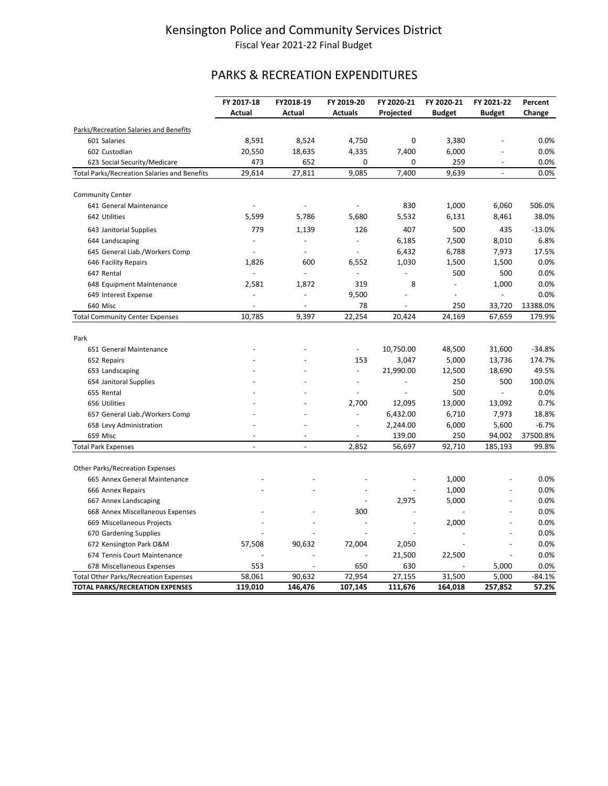# PARKS & RECREATION EXPENDITURES

|                                                     | FY 2017-18               | FY2018-19                | FY 2019-20               | FY 2020-21 | FY 2020-21               | FY 2021-22               | Percent         |
|-----------------------------------------------------|--------------------------|--------------------------|--------------------------|------------|--------------------------|--------------------------|-----------------|
|                                                     | Actual                   | Actual                   | <b>Actuals</b>           | Projected  | <b>Budget</b>            | <b>Budget</b>            | Change          |
| Parks/Recreation Salaries and Benefits              |                          |                          |                          |            |                          |                          |                 |
| 601 Salaries                                        | 8,591                    | 8,524                    | 4,750                    | 0          | 3,380                    |                          | 0.0%            |
| 602 Custodian                                       | 20,550                   | 18,635                   | 4,335                    | 7,400      | 6,000                    |                          | 0.0%            |
| 623 Social Security/Medicare                        | 473                      | 652                      | 0                        | 0          | 259                      |                          | 0.0%            |
| <b>Total Parks/Recreation Salaries and Benefits</b> | 29,614                   | 27,811                   | 9,085                    | 7,400      | 9,639                    | $\overline{\phantom{a}}$ | 0.0%            |
|                                                     |                          |                          |                          |            |                          |                          |                 |
| <b>Community Center</b>                             |                          |                          |                          |            |                          |                          |                 |
| 641 General Maintenance<br>642 Utilities            |                          |                          |                          | 830        | 1,000                    | 6,060                    | 506.0%<br>38.0% |
|                                                     | 5,599                    | 5,786                    | 5,680                    | 5,532      | 6,131                    | 8,461                    |                 |
| 643 Janitorial Supplies                             | 779                      | 1,139                    | 126                      | 407        | 500                      | 435                      | $-13.0%$        |
| 644 Landscaping                                     | $\overline{\phantom{a}}$ | $\overline{a}$           | $\overline{\phantom{a}}$ | 6,185      | 7,500                    | 8,010                    | 6.8%            |
| 645 General Liab./Workers Comp                      | $\overline{\phantom{a}}$ | $\overline{\phantom{a}}$ | $\overline{\phantom{a}}$ | 6,432      | 6,788                    | 7,973                    | 17.5%           |
| 646 Facility Repairs                                | 1,826                    | 600                      | 6,552                    | 1,030      | 1,500                    | 1,500                    | 0.0%            |
| 647 Rental                                          | $\overline{a}$           | $\overline{a}$           | $\frac{1}{2}$            |            | 500                      | 500                      | 0.0%            |
| 648 Equipment Maintenance                           | 2,581                    | 1,872                    | 319                      | 8          | $\overline{\phantom{a}}$ | 1,000                    | 0.0%            |
| 649 Interest Expense                                |                          | $\overline{a}$           | 9,500                    |            | $\overline{\phantom{a}}$ | $\overline{a}$           | 0.0%            |
| 640 Misc                                            |                          |                          | 78                       |            | 250                      | 33,720                   | 13388.0%        |
| <b>Total Community Center Expenses</b>              | 10,785                   | 9,397                    | 22,254                   | 20,424     | 24,169                   | 67,659                   | 179.9%          |
| Park                                                |                          |                          |                          |            |                          |                          |                 |
| 651 General Maintenance                             |                          |                          | $\overline{\phantom{a}}$ | 10,750.00  | 48,500                   | 31,600                   | $-34.8%$        |
| 652 Repairs                                         |                          |                          | 153                      | 3,047      | 5,000                    | 13,736                   | 174.7%          |
| 653 Landscaping                                     |                          |                          | $\overline{\phantom{a}}$ | 21,990.00  | 12,500                   | 18,690                   | 49.5%           |
| 654 Janitoral Supplies                              |                          |                          |                          |            | 250                      | 500                      | 100.0%          |
| 655 Rental                                          |                          |                          | $\overline{a}$           |            | 500                      | $\bar{\phantom{a}}$      | 0.0%            |
| 656 Utilities                                       |                          |                          | 2,700                    | 12,095     | 13,000                   | 13,092                   | 0.7%            |
| 657 General Liab./Workers Comp                      |                          |                          | $\overline{\phantom{a}}$ | 6,432.00   | 6,710                    | 7,973                    | 18.8%           |
| 658 Levy Administration                             |                          |                          | $\overline{\phantom{a}}$ | 2,244.00   | 6,000                    | 5,600                    | $-6.7%$         |
| 659 Misc                                            |                          |                          |                          | 139.00     | 250                      | 94,002                   | 37500.8%        |
| <b>Total Park Expenses</b>                          |                          |                          | 2,852                    | 56,697     | 92,710                   | 185,193                  | 99.8%           |
|                                                     |                          |                          |                          |            |                          |                          |                 |
| <b>Other Parks/Recreation Expenses</b>              |                          |                          |                          |            |                          |                          |                 |
| 665 Annex General Maintenance                       |                          |                          |                          |            | 1,000                    |                          | 0.0%            |
| 666 Annex Repairs                                   |                          |                          |                          |            | 1,000                    |                          | 0.0%            |
| 667 Annex Landscaping                               |                          |                          | $\overline{a}$           | 2,975      | 5,000                    |                          | 0.0%            |
| 668 Annex Miscellaneous Expenses                    |                          |                          | 300                      |            |                          |                          | 0.0%            |
| 669 Miscellaneous Projects                          |                          |                          |                          |            | 2,000                    | $\overline{a}$           | 0.0%            |
| 670 Gardening Supplies                              |                          |                          |                          |            |                          |                          | 0.0%            |
| 672 Kensington Park O&M                             | 57,508                   | 90,632                   | 72,004                   | 2,050      |                          | ÷,                       | 0.0%            |
| 674 Tennis Court Maintenance                        |                          |                          |                          | 21,500     | 22,500                   |                          | 0.0%            |
| 678 Miscellaneous Expenses                          | 553                      |                          | 650                      | 630        |                          | 5,000                    | 0.0%            |
| <b>Total Other Parks/Recreation Expenses</b>        | 58,061                   | 90,632                   | 72,954                   | 27,155     | 31,500                   | 5,000                    | $-84.1%$        |
| <b>TOTAL PARKS/RECREATION EXPENSES</b>              | 119,010                  | 146,476                  | 107,145                  | 111,676    | 164,018                  | 257,852                  | 57.2%           |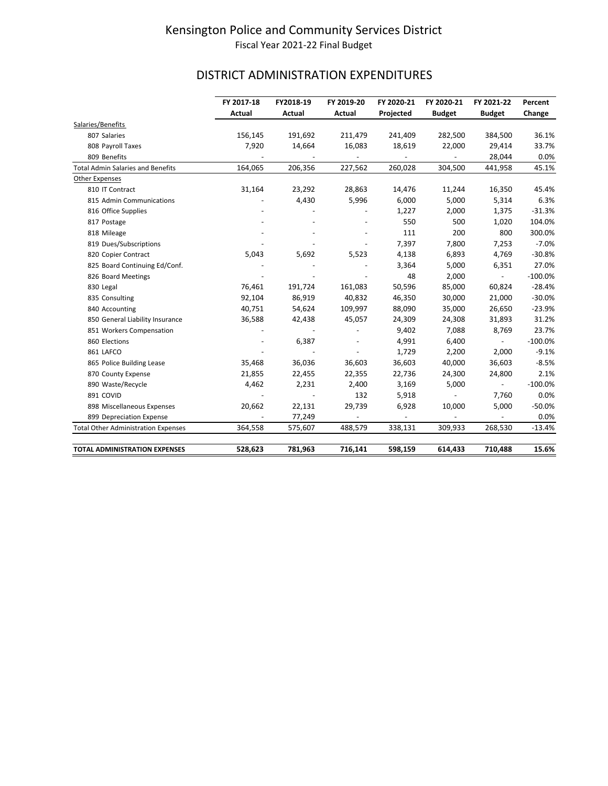# DISTRICT ADMINISTRATION EXPENDITURES

|                                            | FY 2017-18<br>Actual | FY2018-19<br>Actual | FY 2019-20<br>Actual | FY 2020-21<br>Projected | FY 2020-21<br><b>Budget</b> | FY 2021-22<br><b>Budget</b> | Percent<br>Change |
|--------------------------------------------|----------------------|---------------------|----------------------|-------------------------|-----------------------------|-----------------------------|-------------------|
| Salaries/Benefits                          |                      |                     |                      |                         |                             |                             |                   |
| 807 Salaries                               | 156,145              | 191,692             | 211,479              | 241,409                 | 282,500                     | 384,500                     | 36.1%             |
| 808 Payroll Taxes                          | 7,920                | 14,664              | 16,083               | 18,619                  | 22,000                      | 29,414                      | 33.7%             |
| 809 Benefits                               |                      |                     |                      |                         |                             | 28,044                      | 0.0%              |
| <b>Total Admin Salaries and Benefits</b>   | 164,065              | 206,356             | 227,562              | 260,028                 | 304,500                     | 441,958                     | 45.1%             |
| <b>Other Expenses</b>                      |                      |                     |                      |                         |                             |                             |                   |
| 810 IT Contract                            | 31,164               | 23,292              | 28,863               | 14,476                  | 11,244                      | 16,350                      | 45.4%             |
| 815 Admin Communications                   |                      | 4,430               | 5,996                | 6,000                   | 5,000                       | 5,314                       | 6.3%              |
| 816 Office Supplies                        |                      |                     |                      | 1,227                   | 2,000                       | 1,375                       | $-31.3%$          |
| 817 Postage                                |                      |                     |                      | 550                     | 500                         | 1,020                       | 104.0%            |
| 818 Mileage                                |                      |                     |                      | 111                     | 200                         | 800                         | 300.0%            |
| 819 Dues/Subscriptions                     |                      |                     |                      | 7,397                   | 7,800                       | 7,253                       | $-7.0%$           |
| 820 Copier Contract                        | 5,043                | 5,692               | 5,523                | 4,138                   | 6,893                       | 4,769                       | $-30.8%$          |
| 825 Board Continuing Ed/Conf.              |                      |                     |                      | 3,364                   | 5,000                       | 6,351                       | 27.0%             |
| 826 Board Meetings                         |                      |                     |                      | 48                      | 2,000                       | $\sim$                      | $-100.0%$         |
| 830 Legal                                  | 76,461               | 191,724             | 161,083              | 50,596                  | 85,000                      | 60,824                      | $-28.4%$          |
| 835 Consulting                             | 92,104               | 86,919              | 40,832               | 46,350                  | 30,000                      | 21,000                      | $-30.0%$          |
| 840 Accounting                             | 40,751               | 54,624              | 109,997              | 88,090                  | 35,000                      | 26,650                      | $-23.9%$          |
| 850 General Liability Insurance            | 36,588               | 42,438              | 45,057               | 24,309                  | 24,308                      | 31,893                      | 31.2%             |
| 851 Workers Compensation                   |                      |                     |                      | 9,402                   | 7,088                       | 8,769                       | 23.7%             |
| 860 Elections                              |                      | 6,387               |                      | 4,991                   | 6,400                       | $\sim$                      | $-100.0%$         |
| 861 LAFCO                                  |                      |                     |                      | 1,729                   | 2,200                       | 2,000                       | $-9.1%$           |
| 865 Police Building Lease                  | 35,468               | 36,036              | 36,603               | 36,603                  | 40,000                      | 36,603                      | $-8.5%$           |
| 870 County Expense                         | 21,855               | 22,455              | 22,355               | 22,736                  | 24,300                      | 24,800                      | 2.1%              |
| 890 Waste/Recycle                          | 4,462                | 2,231               | 2,400                | 3,169                   | 5,000                       |                             | $-100.0%$         |
| 891 COVID                                  |                      |                     | 132                  | 5,918                   |                             | 7,760                       | 0.0%              |
| 898 Miscellaneous Expenses                 | 20,662               | 22,131              | 29,739               | 6,928                   | 10,000                      | 5,000                       | $-50.0%$          |
| 899 Depreciation Expense                   |                      | 77,249              |                      |                         |                             |                             | 0.0%              |
| <b>Total Other Administration Expenses</b> | 364,558              | 575,607             | 488,579              | 338,131                 | 309,933                     | 268,530                     | $-13.4%$          |
| <b>TOTAL ADMINISTRATION EXPENSES</b>       | 528,623              | 781,963             | 716,141              | 598,159                 | 614,433                     | 710,488                     | 15.6%             |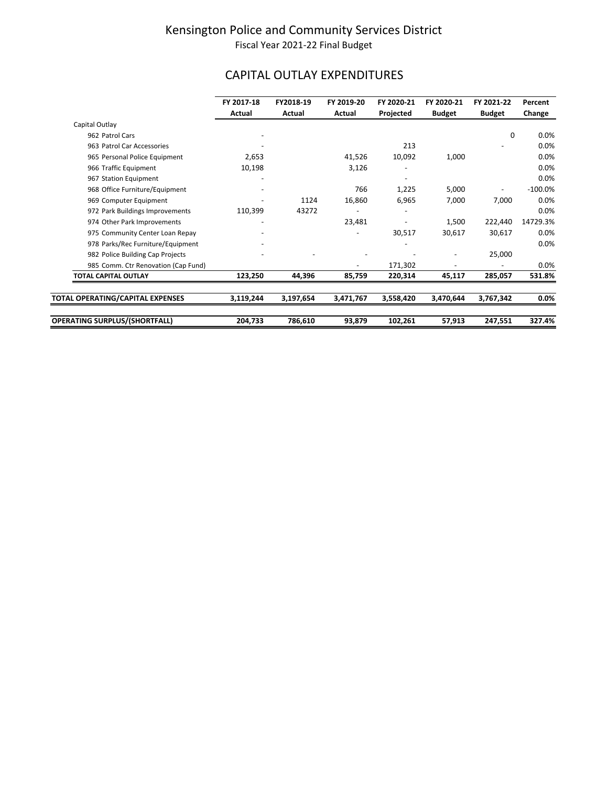# CAPITAL OUTLAY EXPENDITURES

|                                     | FY 2017-18<br>Actual     | FY2018-19<br>Actual | FY 2019-20<br>Actual | FY 2020-21<br>Projected | FY 2020-21<br><b>Budget</b> | FY 2021-22<br><b>Budget</b> | Percent<br>Change |
|-------------------------------------|--------------------------|---------------------|----------------------|-------------------------|-----------------------------|-----------------------------|-------------------|
| Capital Outlay                      |                          |                     |                      |                         |                             |                             |                   |
| 962 Patrol Cars                     |                          |                     |                      |                         |                             | 0                           | 0.0%              |
| 963 Patrol Car Accessories          |                          |                     |                      | 213                     |                             |                             | 0.0%              |
| 965 Personal Police Equipment       | 2,653                    |                     | 41,526               | 10,092                  | 1,000                       |                             | 0.0%              |
| 966 Traffic Equipment               | 10,198                   |                     | 3,126                |                         |                             |                             | 0.0%              |
| 967 Station Equipment               |                          |                     |                      |                         |                             |                             | 0.0%              |
| 968 Office Furniture/Equipment      |                          |                     | 766                  | 1,225                   | 5,000                       |                             | $-100.0\%$        |
| 969 Computer Equipment              |                          | 1124                | 16,860               | 6,965                   | 7,000                       | 7,000                       | 0.0%              |
| 972 Park Buildings Improvements     | 110,399                  | 43272               |                      |                         |                             |                             | 0.0%              |
| 974 Other Park Improvements         | $\overline{\phantom{a}}$ |                     | 23,481               |                         | 1,500                       | 222,440                     | 14729.3%          |
| 975 Community Center Loan Repay     |                          |                     |                      | 30,517                  | 30,617                      | 30,617                      | 0.0%              |
| 978 Parks/Rec Furniture/Equipment   |                          |                     |                      |                         |                             |                             | 0.0%              |
| 982 Police Building Cap Projects    |                          |                     |                      |                         |                             | 25,000                      |                   |
| 985 Comm. Ctr Renovation (Cap Fund) |                          |                     |                      | 171,302                 |                             |                             | 0.0%              |
| TOTAL CAPITAL OUTLAY                | 123,250                  | 44,396              | 85,759               | 220,314                 | 45,117                      | 285,057                     | 531.8%            |
|                                     |                          |                     |                      |                         |                             |                             |                   |
| TOTAL OPERATING/CAPITAL EXPENSES    | 3,119,244                | 3,197,654           | 3,471,767            | 3,558,420               | 3,470,644                   | 3,767,342                   | $0.0\%$           |
| OPERATING SURPLUS/(SHORTFALL)       | 204,733                  | 786,610             | 93,879               | 102,261                 | 57,913                      | 247,551                     | 327.4%            |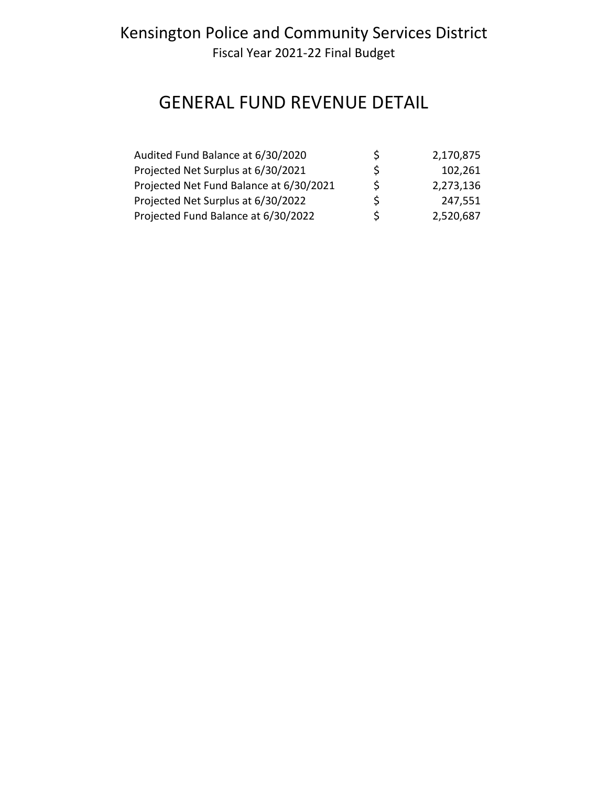# GENERAL FUND REVENUE DETAIL

| Audited Fund Balance at 6/30/2020       | S | 2,170,875 |
|-----------------------------------------|---|-----------|
| Projected Net Surplus at 6/30/2021      | S | 102,261   |
| Projected Net Fund Balance at 6/30/2021 | S | 2,273,136 |
| Projected Net Surplus at 6/30/2022      | S | 247,551   |
| Projected Fund Balance at 6/30/2022     | S | 2,520,687 |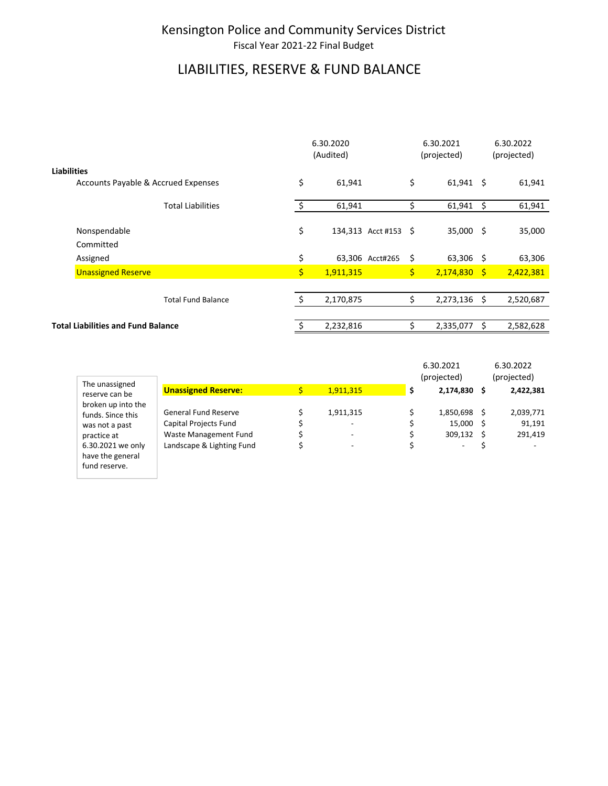# LIABILITIES, RESERVE & FUND BALANCE

|                    |                                           | 6.30.2020<br>(Audited) |                      |               | 6.30.2021<br>(projected) |   | 6.30.2022<br>(projected) |  |
|--------------------|-------------------------------------------|------------------------|----------------------|---------------|--------------------------|---|--------------------------|--|
| <b>Liabilities</b> |                                           |                        |                      |               |                          |   |                          |  |
|                    | Accounts Payable & Accrued Expenses       | \$                     | 61,941               | \$            | $61,941$ \$              |   | 61,941                   |  |
|                    | <b>Total Liabilities</b>                  | \$                     | 61,941               | \$            | $61,941$ \$              |   | 61,941                   |  |
|                    | Nonspendable<br>Committed                 | \$                     | 134,313 Acct #153 \$ |               | $35,000$ \$              |   | 35,000                   |  |
|                    | Assigned                                  | \$                     | 63,306 Acct#265      | \$            | $63,306$ \$              |   | 63,306                   |  |
|                    | <b>Unassigned Reserve</b>                 | \$                     | 1,911,315            | $\frac{1}{2}$ | $2,174,830$ \$           |   | 2,422,381                |  |
|                    |                                           |                        |                      |               |                          |   |                          |  |
|                    | <b>Total Fund Balance</b>                 |                        | 2,170,875            | \$            | $2,273,136$ \$           |   | 2,520,687                |  |
|                    |                                           |                        |                      |               |                          |   |                          |  |
|                    | <b>Total Liabilities and Fund Balance</b> |                        | 2,232,816            | Ś             | 2,335,077                | s | 2,582,628                |  |

|                                                           |                                                      |           | 6.30.2021                   | 6.30.2022           |
|-----------------------------------------------------------|------------------------------------------------------|-----------|-----------------------------|---------------------|
| The unassigned                                            |                                                      |           | (projected)                 | (projected)         |
| reserve can be                                            | <b>Unassigned Reserve:</b>                           | 1,911,315 | 2,174,830 \$                | 2,422,381           |
| broken up into the<br>funds. Since this<br>was not a past | <b>General Fund Reserve</b><br>Capital Projects Fund | 1,911,315 | 1,850,698 \$<br>$15,000$ \$ | 2,039,771<br>91,191 |
| practice at                                               | Waste Management Fund                                |           | 309.132 \$                  | 291,419             |
| 6.30.2021 we only<br>have the general                     | Landscape & Lighting Fund                            |           | $\overline{\phantom{0}}$    |                     |

fund reserve.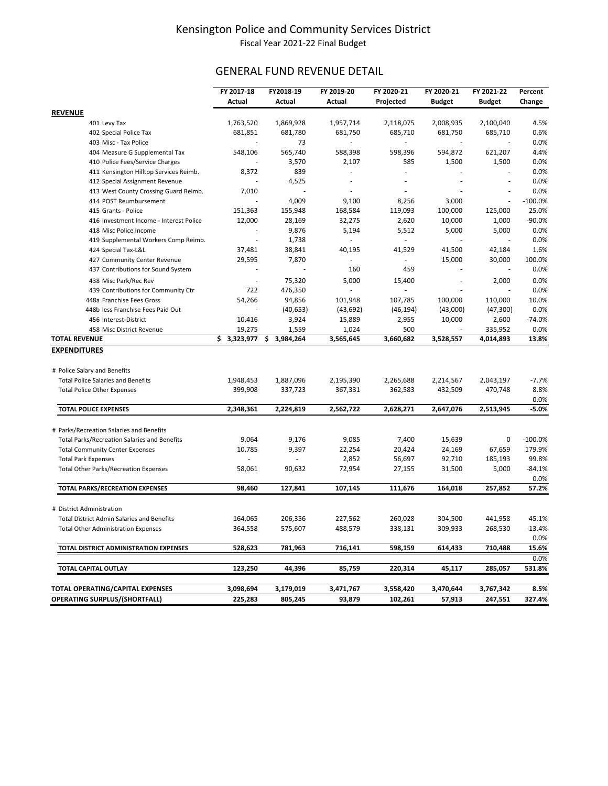### GENERAL FUND REVENUE DETAIL

|                                                     | FY 2017-18  | FY2018-19       | FY 2019-20               | FY 2020-21 | FY 2020-21    | FY 2021-22    | Percent       |
|-----------------------------------------------------|-------------|-----------------|--------------------------|------------|---------------|---------------|---------------|
|                                                     | Actual      | Actual          | Actual                   | Projected  | <b>Budget</b> | <b>Budget</b> | Change        |
| <b>REVENUE</b>                                      |             |                 |                          |            |               |               |               |
| 401 Levy Tax                                        | 1,763,520   | 1,869,928       | 1,957,714                | 2,118,075  | 2,008,935     | 2,100,040     | 4.5%          |
| 402 Special Police Tax                              | 681,851     | 681,780         | 681,750                  | 685,710    | 681,750       | 685,710       | 0.6%          |
| 403 Misc - Tax Police                               |             | 73              |                          |            |               |               | 0.0%          |
| 404 Measure G Supplemental Tax                      | 548,106     | 565,740         | 588,398                  | 598,396    | 594,872       | 621,207       | 4.4%          |
| 410 Police Fees/Service Charges                     |             | 3,570           | 2,107                    | 585        | 1,500         | 1,500         | 0.0%          |
| 411 Kensington Hilltop Services Reimb.              | 8,372       | 839             |                          | ä,         |               |               | 0.0%          |
| 412 Special Assignment Revenue                      |             | 4,525           | $\overline{\phantom{a}}$ | $\sim$     | $\sim$        | ÷,            | 0.0%          |
| 413 West County Crossing Guard Reimb.               | 7,010       |                 |                          |            |               |               | 0.0%          |
| 414 POST Reumbursement                              |             | 4,009           | 9,100                    | 8,256      | 3,000         | ÷,            | $-100.0%$     |
| 415 Grants - Police                                 | 151,363     | 155,948         | 168,584                  | 119,093    | 100,000       | 125,000       | 25.0%         |
| 416 Investment Income - Interest Police             | 12,000      | 28,169          | 32,275                   | 2,620      | 10,000        | 1,000         | $-90.0%$      |
| 418 Misc Police Income                              |             | 9,876           | 5,194                    | 5,512      | 5,000         | 5,000         | 0.0%          |
| 419 Supplemental Workers Comp Reimb.                |             | 1,738           | $\sim$                   | ÷.         |               |               | 0.0%          |
| 424 Special Tax-L&L                                 | 37,481      | 38,841          | 40,195                   | 41,529     | 41,500        | 42,184        | 1.6%          |
| 427 Community Center Revenue                        | 29,595      | 7,870           |                          |            | 15,000        | 30,000        | 100.0%        |
| 437 Contributions for Sound System                  |             |                 | 160                      | 459        |               |               | 0.0%          |
|                                                     |             | 75,320          | 5,000                    |            | ÷,            | 2,000         | 0.0%          |
| 438 Misc Park/Rec Rev                               | 722         |                 |                          | 15,400     |               |               | 0.0%          |
| 439 Contributions for Community Ctr                 |             | 476,350         |                          |            |               |               |               |
| 448a Franchise Fees Gross                           | 54,266      | 94,856          | 101,948                  | 107,785    | 100,000       | 110,000       | 10.0%         |
| 448b less Franchise Fees Paid Out                   |             | (40, 653)       | (43, 692)                | (46, 194)  | (43,000)      | (47, 300)     | 0.0%          |
| 456 Interest-District                               | 10,416      | 3,924           | 15,889                   | 2,955      | 10,000        | 2,600         | $-74.0%$      |
| 458 Misc District Revenue                           | 19,275      | 1,559           | 1,024                    | 500        |               | 335,952       | 0.0%<br>13.8% |
| <b>TOTAL REVENUE</b>                                | \$3,323,977 | 3,984,264<br>\$ | 3,565,645                | 3,660,682  | 3,528,557     | 4,014,893     |               |
| <b>EXPENDITURES</b>                                 |             |                 |                          |            |               |               |               |
|                                                     |             |                 |                          |            |               |               |               |
| # Police Salary and Benefits                        |             |                 |                          |            |               |               |               |
| <b>Total Police Salaries and Benefits</b>           | 1,948,453   | 1,887,096       | 2,195,390                | 2,265,688  | 2,214,567     | 2,043,197     | $-7.7%$       |
| <b>Total Police Other Expenses</b>                  | 399,908     | 337,723         | 367,331                  | 362,583    | 432,509       | 470,748       | 8.8%          |
|                                                     |             |                 |                          |            |               |               | 0.0%          |
| <b>TOTAL POLICE EXPENSES</b>                        | 2,348,361   | 2,224,819       | 2,562,722                | 2,628,271  | 2,647,076     | 2,513,945     | $-5.0%$       |
|                                                     |             |                 |                          |            |               |               |               |
| # Parks/Recreation Salaries and Benefits            |             |                 |                          |            |               |               |               |
| <b>Total Parks/Recreation Salaries and Benefits</b> | 9,064       | 9,176           | 9,085                    | 7,400      | 15,639        | 0             | $-100.0%$     |
| <b>Total Community Center Expenses</b>              | 10,785      | 9,397           | 22,254                   | 20,424     | 24,169        | 67,659        | 179.9%        |
| <b>Total Park Expenses</b>                          |             |                 | 2,852                    | 56,697     | 92,710        | 185,193       | 99.8%         |
| <b>Total Other Parks/Recreation Expenses</b>        | 58,061      | 90,632          | 72,954                   | 27,155     | 31,500        | 5,000         | $-84.1%$      |
|                                                     |             |                 |                          |            |               |               | 0.0%          |
| TOTAL PARKS/RECREATION EXPENSES                     | 98,460      | 127,841         | 107,145                  | 111,676    | 164,018       | 257,852       | 57.2%         |
|                                                     |             |                 |                          |            |               |               |               |
| # District Administration                           |             |                 |                          |            |               |               |               |
| <b>Total District Admin Salaries and Benefits</b>   | 164,065     | 206,356         | 227,562                  | 260,028    | 304,500       | 441,958       | 45.1%         |
| <b>Total Other Administration Expenses</b>          | 364,558     | 575,607         | 488,579                  | 338,131    | 309,933       | 268,530       | $-13.4%$      |
|                                                     |             |                 |                          |            |               |               | 0.0%          |
| TOTAL DISTRICT ADMINISTRATION EXPENSES              | 528,623     | 781,963         | 716,141                  | 598,159    | 614,433       | 710,488       | 15.6%         |
|                                                     |             |                 |                          |            |               |               | 0.0%          |
| TOTAL CAPITAL OUTLAY                                | 123,250     | 44,396          | 85,759                   | 220,314    | 45,117        | 285,057       | 531.8%        |
|                                                     |             |                 |                          |            |               |               |               |
| TOTAL OPERATING/CAPITAL EXPENSES                    | 3,098,694   | 3,179,019       | 3,471,767                | 3,558,420  | 3,470,644     | 3,767,342     | 8.5%          |
| <b>OPERATING SURPLUS/(SHORTFALL)</b>                | 225,283     | 805,245         | 93,879                   | 102,261    | 57,913        | 247,551       | 327.4%        |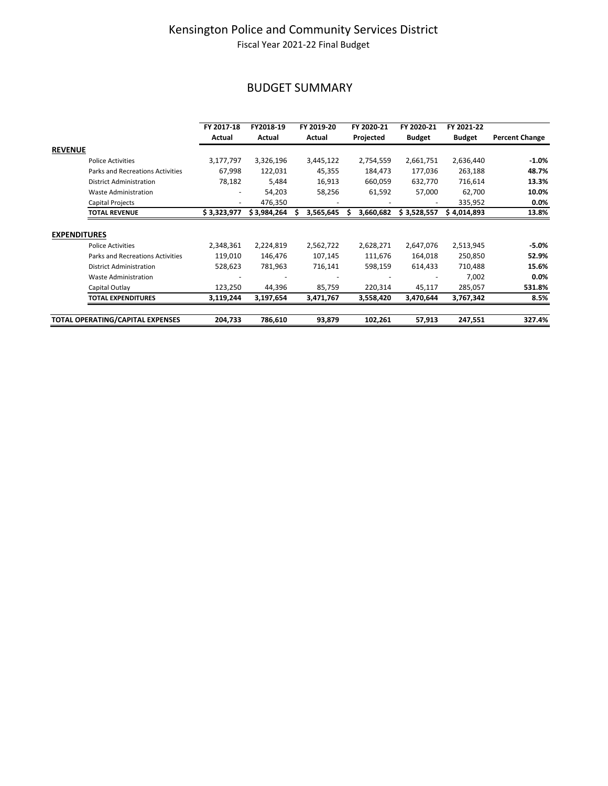### BUDGET SUMMARY

|                                         | FY 2017-18                   | FY2018-19   | FY 2019-20 | FY 2020-21 | FY 2020-21    | FY 2021-22    |                       |
|-----------------------------------------|------------------------------|-------------|------------|------------|---------------|---------------|-----------------------|
|                                         | Actual                       | Actual      | Actual     | Projected  | <b>Budget</b> | <b>Budget</b> | <b>Percent Change</b> |
| <b>REVENUE</b>                          |                              |             |            |            |               |               |                       |
| <b>Police Activities</b>                | 3,177,797                    | 3,326,196   | 3,445,122  | 2,754,559  | 2,661,751     | 2,636,440     | $-1.0%$               |
| <b>Parks and Recreations Activities</b> | 67,998                       | 122,031     | 45,355     | 184,473    | 177,036       | 263,188       | 48.7%                 |
| <b>District Administration</b>          | 78,182                       | 5,484       | 16,913     | 660,059    | 632,770       | 716,614       | 13.3%                 |
| <b>Waste Administration</b>             | $\qquad \qquad \blacksquare$ | 54,203      | 58,256     | 61,592     | 57,000        | 62,700        | 10.0%                 |
| Capital Projects                        | $\overline{\phantom{a}}$     | 476,350     |            |            |               | 335,952       | 0.0%                  |
| <b>TOTAL REVENUE</b>                    | \$3,323,977                  | \$3,984,264 | 3,565,645  | 3,660,682  | \$3,528,557   | \$4,014,893   | 13.8%                 |
|                                         |                              |             |            |            |               |               |                       |
| <b>EXPENDITURES</b>                     |                              |             |            |            |               |               |                       |
| <b>Police Activities</b>                | 2,348,361                    | 2,224,819   | 2,562,722  | 2,628,271  | 2,647,076     | 2,513,945     | $-5.0\%$              |
| <b>Parks and Recreations Activities</b> | 119,010                      | 146,476     | 107,145    | 111,676    | 164,018       | 250,850       | 52.9%                 |
| <b>District Administration</b>          | 528,623                      | 781,963     | 716,141    | 598,159    | 614,433       | 710,488       | 15.6%                 |
| <b>Waste Administration</b>             |                              |             |            |            |               | 7,002         | 0.0%                  |
| Capital Outlay                          | 123,250                      | 44,396      | 85,759     | 220,314    | 45,117        | 285,057       | 531.8%                |
| <b>TOTAL EXPENDITURES</b>               | 3,119,244                    | 3,197,654   | 3,471,767  | 3,558,420  | 3,470,644     | 3,767,342     | 8.5%                  |
| TOTAL OPERATING/CAPITAL EXPENSES        | 204,733                      | 786,610     | 93,879     | 102,261    | 57,913        | 247,551       | 327.4%                |